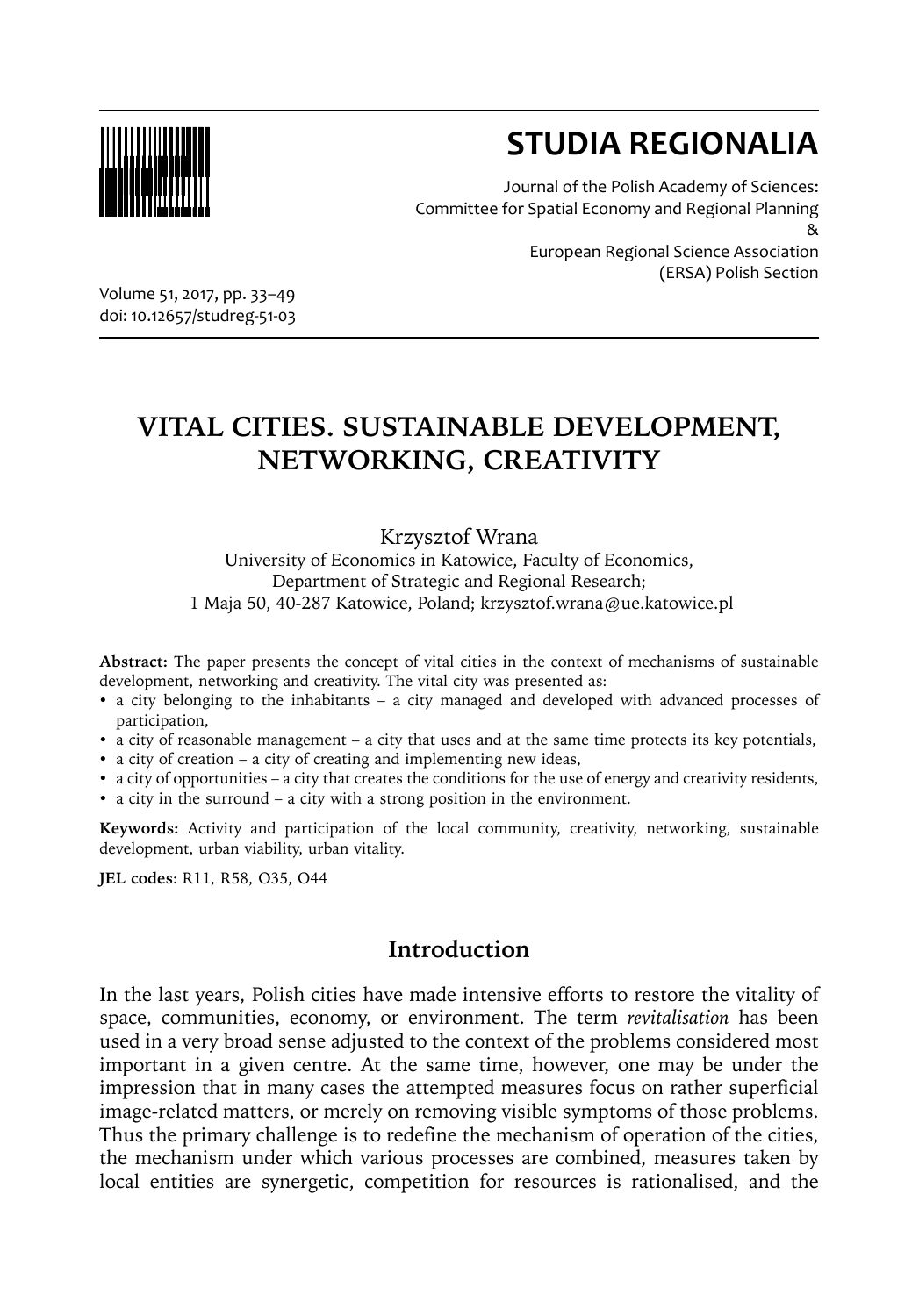

# **STUDIA REGIONALIA**

Journal of the Polish Academy of Sciences: Committee for Spatial Economy and Regional Planning &

European Regional Science Association (ERSA) Polish Section

Volume 51, 2017, pp. 33–49 doi: 10.12657/studreg-51-03

## **VITAL CITIES. SUSTAINABLE DEVELOPMENT, NETWORKING, CREATIVITY**

#### Krzysztof Wrana University of Economics in Katowice, Faculty of Economics, Department of Strategic and Regional Research; 1 Maja 50, 40-287 Katowice, Poland; krzysztof.wrana@ue.katowice.pl

**Abstract:** The paper presents the concept of vital cities in the context of mechanisms of sustainable development, networking and creativity. The vital city was presented as:

- y a city belonging to the inhabitants a city managed and developed with advanced processes of participation,
- y a city of reasonable management a city that uses and at the same time protects its key potentials,
- a city of creation a city of creating and implementing new ideas,
- y a city of opportunities a city that creates the conditions for the use of energy and creativity residents,
- a city in the surround a city with a strong position in the environment.

**Keywords:** Activity and participation of the local community, creativity, networking, sustainable development, urban viability, urban vitality.

**JEL codes**: R11, R58, O35, O44

### **Introduction**

In the last years, Polish cities have made intensive efforts to restore the vitality of space, communities, economy, or environment. The term *revitalisation* has been used in a very broad sense adjusted to the context of the problems considered most important in a given centre. At the same time, however, one may be under the impression that in many cases the attempted measures focus on rather superficial image-related matters, or merely on removing visible symptoms of those problems. Thus the primary challenge is to redefine the mechanism of operation of the cities, the mechanism under which various processes are combined, measures taken by local entities are synergetic, competition for resources is rationalised, and the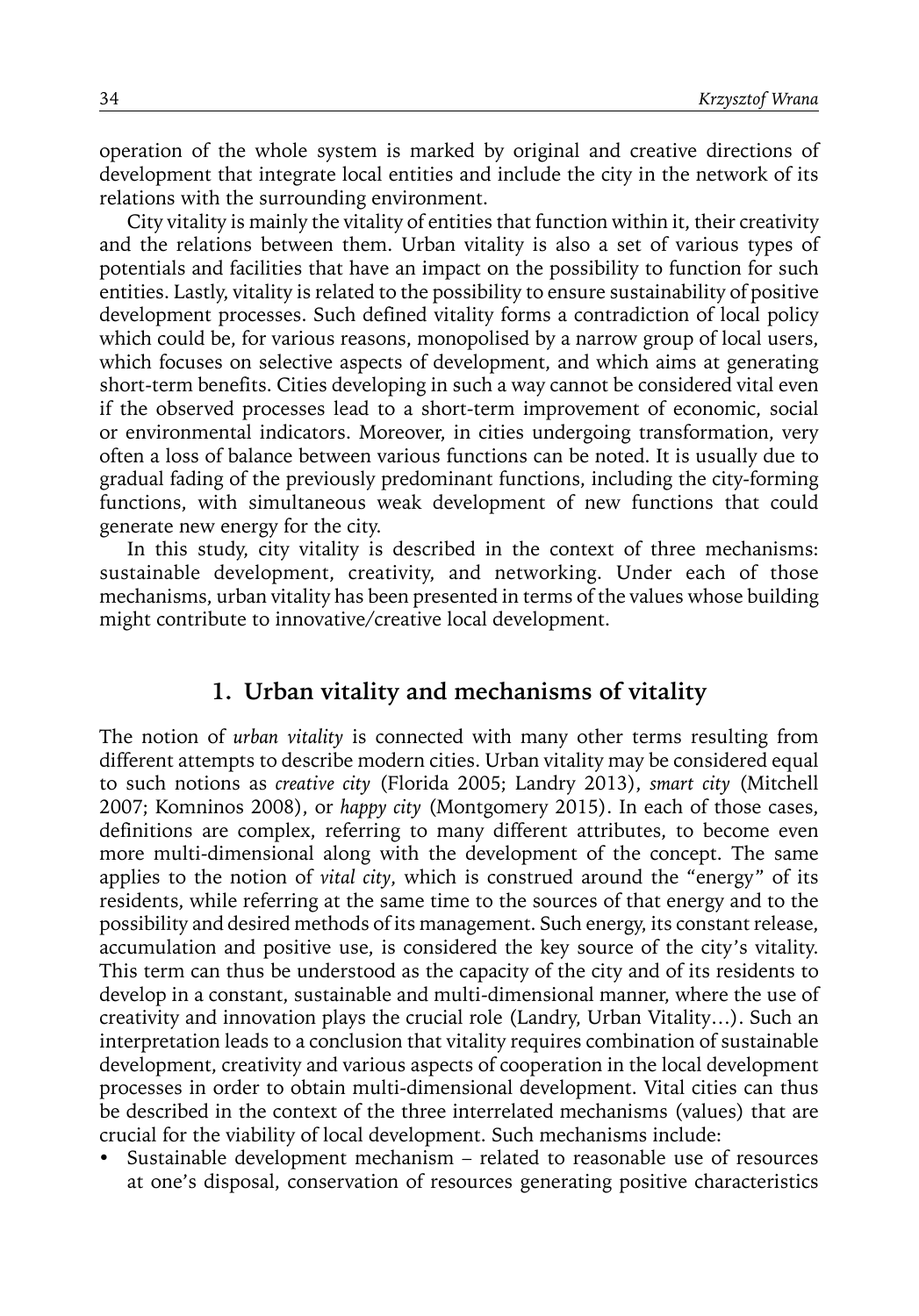operation of the whole system is marked by original and creative directions of development that integrate local entities and include the city in the network of its relations with the surrounding environment.

City vitality is mainly the vitality of entities that function within it, their creativity and the relations between them. Urban vitality is also a set of various types of potentials and facilities that have an impact on the possibility to function for such entities. Lastly, vitality is related to the possibility to ensure sustainability of positive development processes. Such defined vitality forms a contradiction of local policy which could be, for various reasons, monopolised by a narrow group of local users, which focuses on selective aspects of development, and which aims at generating short-term benefits. Cities developing in such a way cannot be considered vital even if the observed processes lead to a short-term improvement of economic, social or environmental indicators. Moreover, in cities undergoing transformation, very often a loss of balance between various functions can be noted. It is usually due to gradual fading of the previously predominant functions, including the city-forming functions, with simultaneous weak development of new functions that could generate new energy for the city.

In this study, city vitality is described in the context of three mechanisms: sustainable development, creativity, and networking. Under each of those mechanisms, urban vitality has been presented in terms of the values whose building might contribute to innovative/creative local development.

#### **1. Urban vitality and mechanisms of vitality**

The notion of *urban vitality* is connected with many other terms resulting from different attempts to describe modern cities. Urban vitality may be considered equal to such notions as *creative city* (Florida 2005; Landry 2013), *smart city* (Mitchell 2007; Komninos 2008), or *happy city* (Montgomery 2015). In each of those cases, definitions are complex, referring to many different attributes, to become even more multi-dimensional along with the development of the concept. The same applies to the notion of *vital city*, which is construed around the "energy" of its residents, while referring at the same time to the sources of that energy and to the possibility and desired methods of its management. Such energy, its constant release, accumulation and positive use, is considered the key source of the city's vitality. This term can thus be understood as the capacity of the city and of its residents to develop in a constant, sustainable and multi-dimensional manner, where the use of creativity and innovation plays the crucial role (Landry, Urban Vitality…). Such an interpretation leads to a conclusion that vitality requires combination of sustainable development, creativity and various aspects of cooperation in the local development processes in order to obtain multi-dimensional development. Vital cities can thus be described in the context of the three interrelated mechanisms (values) that are crucial for the viability of local development. Such mechanisms include:

Sustainable development mechanism - related to reasonable use of resources at one's disposal, conservation of resources generating positive characteristics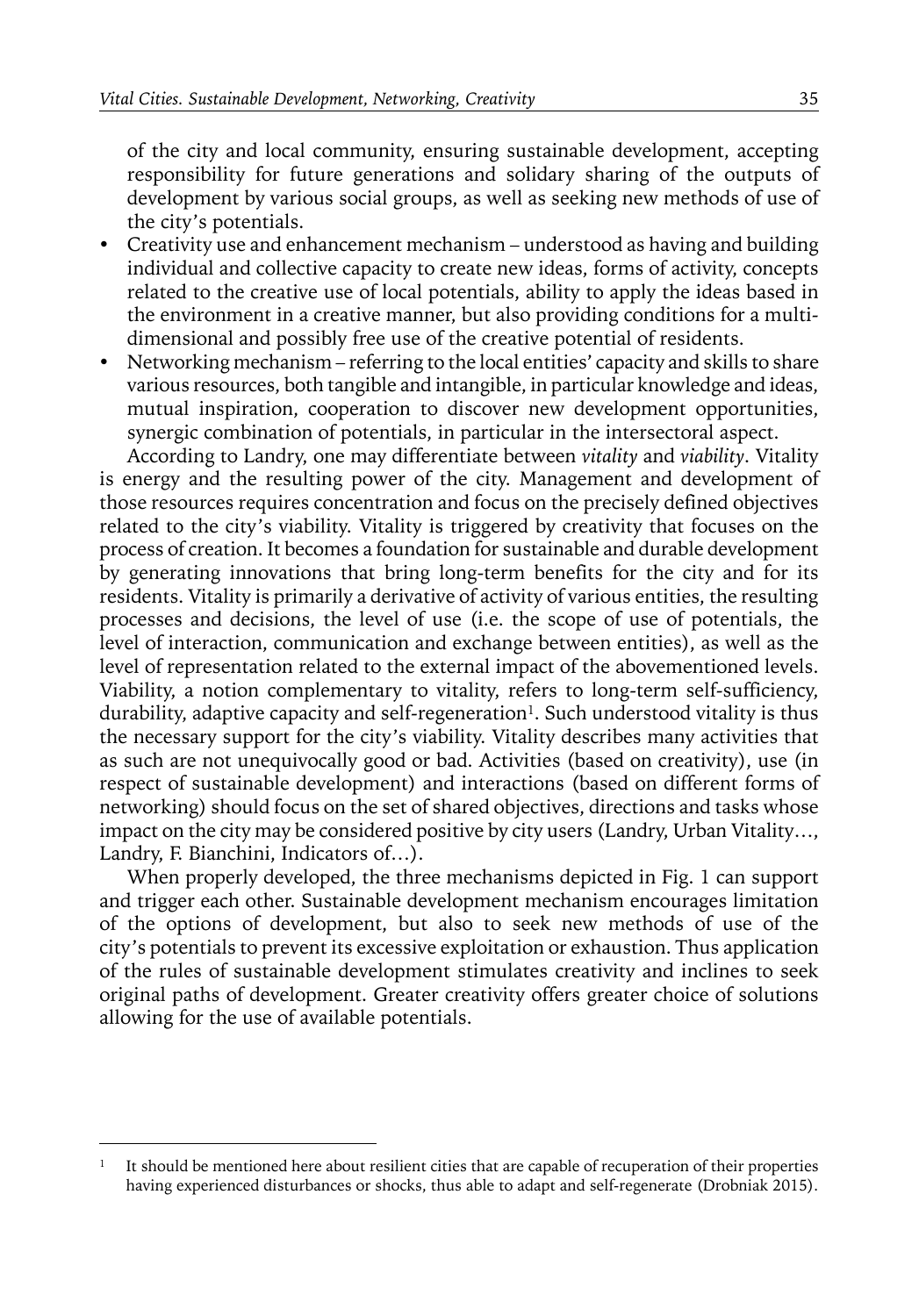of the city and local community, ensuring sustainable development, accepting responsibility for future generations and solidary sharing of the outputs of development by various social groups, as well as seeking new methods of use of the city's potentials.

- Creativity use and enhancement mechanism understood as having and building individual and collective capacity to create new ideas, forms of activity, concepts related to the creative use of local potentials, ability to apply the ideas based in the environment in a creative manner, but also providing conditions for a multidimensional and possibly free use of the creative potential of residents.
- Networking mechanism referring to the local entities' capacity and skills to share various resources, both tangible and intangible, in particular knowledge and ideas, mutual inspiration, cooperation to discover new development opportunities, synergic combination of potentials, in particular in the intersectoral aspect.

According to Landry, one may differentiate between *vitality* and *viability*. Vitality is energy and the resulting power of the city. Management and development of those resources requires concentration and focus on the precisely defined objectives related to the city's viability. Vitality is triggered by creativity that focuses on the process of creation. It becomes a foundation for sustainable and durable development by generating innovations that bring long-term benefits for the city and for its residents. Vitality is primarily a derivative of activity of various entities, the resulting processes and decisions, the level of use (i.e. the scope of use of potentials, the level of interaction, communication and exchange between entities), as well as the level of representation related to the external impact of the abovementioned levels. Viability, a notion complementary to vitality, refers to long-term self-sufficiency, durability, adaptive capacity and self-regeneration<sup>1</sup>. Such understood vitality is thus the necessary support for the city's viability. Vitality describes many activities that as such are not unequivocally good or bad. Activities (based on creativity), use (in respect of sustainable development) and interactions (based on different forms of networking) should focus on the set of shared objectives, directions and tasks whose impact on the city may be considered positive by city users (Landry, Urban Vitality…, Landry, F. Bianchini, Indicators of…).

When properly developed, the three mechanisms depicted in Fig. 1 can support and trigger each other. Sustainable development mechanism encourages limitation of the options of development, but also to seek new methods of use of the city's potentials to prevent its excessive exploitation or exhaustion. Thus application of the rules of sustainable development stimulates creativity and inclines to seek original paths of development. Greater creativity offers greater choice of solutions allowing for the use of available potentials.

<sup>&</sup>lt;sup>1</sup> It should be mentioned here about resilient cities that are capable of recuperation of their properties having experienced disturbances or shocks, thus able to adapt and self-regenerate (Drobniak 2015).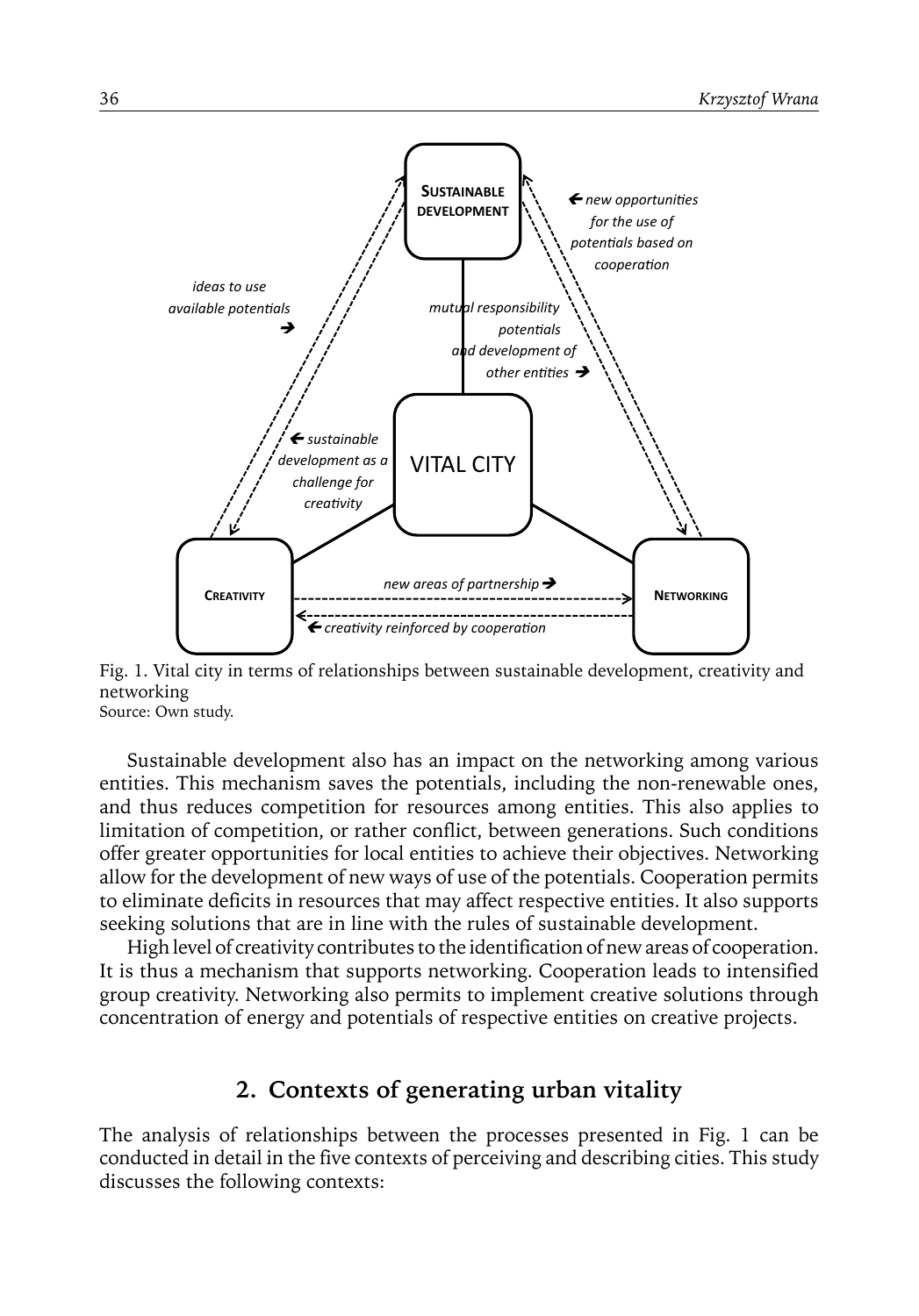

Fig. 1. Vital city in terms of relationships between sustainable development, creativity and networking Source: Own study.

Sustainable development also has an impact on the networking among various entities. This mechanism saves the potentials, including the non-renewable ones, and thus reduces competition for resources among entities. This also applies to limitation of competition, or rather conflict, between generations. Such conditions offer greater opportunities for local entities to achieve their objectives. Networking allow for the development of new ways of use of the potentials. Cooperation permits to eliminate deficits in resources that may affect respective entities. It also supports seeking solutions that are in line with the rules of sustainable development.

High level of creativity contributes to the identification of new areas of cooperation. It is thus a mechanism that supports networking. Cooperation leads to intensified group creativity. Networking also permits to implement creative solutions through concentration of energy and potentials of respective entities on creative projects.

#### **2. Contexts of generating urban vitality**

The analysis of relationships between the processes presented in Fig. 1 can be conducted in detail in the five contexts of perceiving and describing cities. This study discusses the following contexts: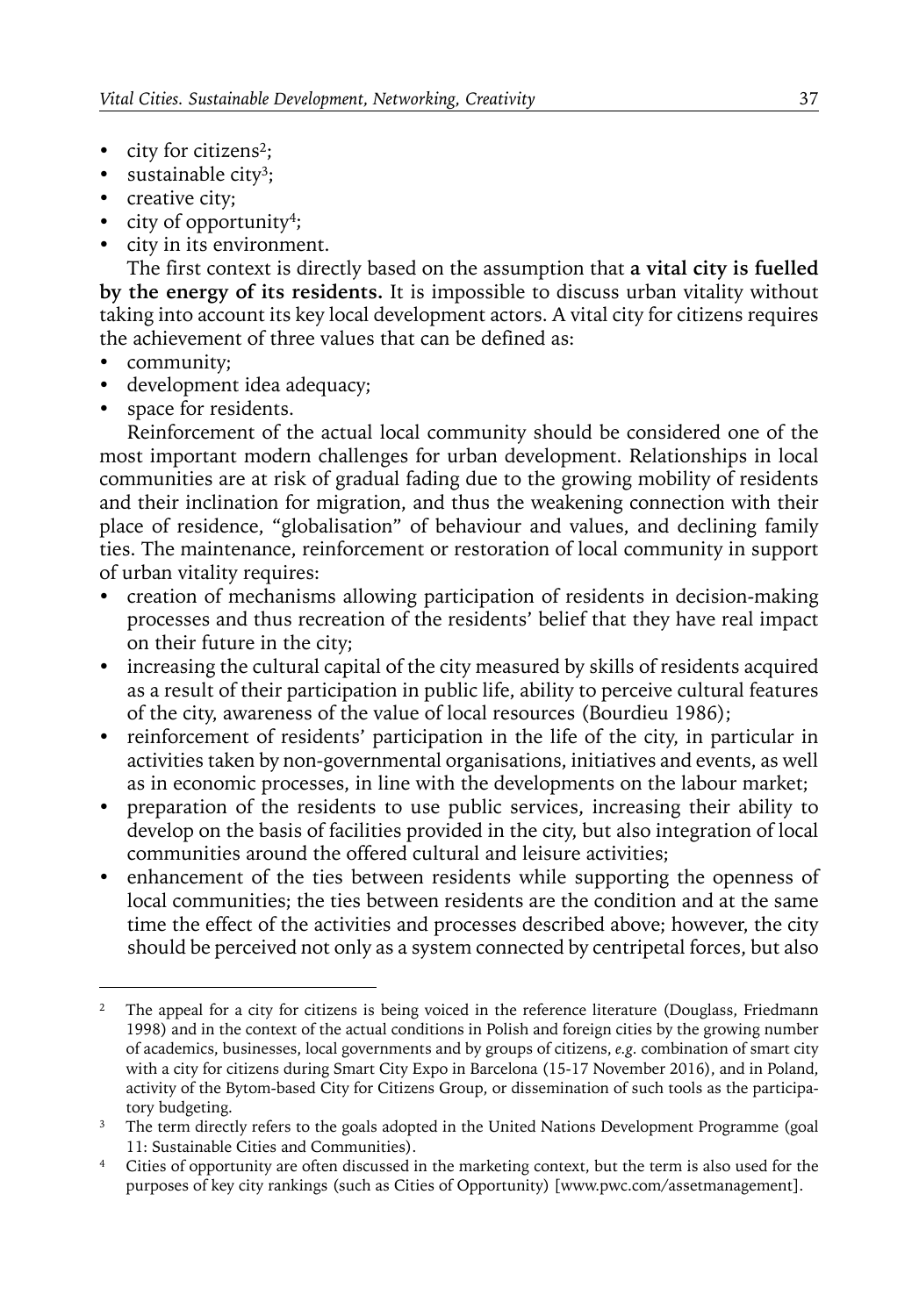- city for citizens<sup>2</sup>;
- $\cdot$  sustainable city<sup>3</sup>;
- creative city;
- $\bullet$  city of opportunity<sup>4</sup>;
- city in its environment.

The first context is directly based on the assumption that **a vital city is fuelled by the energy of its residents.** It is impossible to discuss urban vitality without taking into account its key local development actors. A vital city for citizens requires the achievement of three values that can be defined as:

- community;
- development idea adequacy;
- space for residents.

Reinforcement of the actual local community should be considered one of the most important modern challenges for urban development. Relationships in local communities are at risk of gradual fading due to the growing mobility of residents and their inclination for migration, and thus the weakening connection with their place of residence, "globalisation" of behaviour and values, and declining family ties. The maintenance, reinforcement or restoration of local community in support of urban vitality requires:

- creation of mechanisms allowing participation of residents in decision-making processes and thus recreation of the residents' belief that they have real impact on their future in the city;
- increasing the cultural capital of the city measured by skills of residents acquired as a result of their participation in public life, ability to perceive cultural features of the city, awareness of the value of local resources (Bourdieu 1986);
- reinforcement of residents' participation in the life of the city, in particular in activities taken by non-governmental organisations, initiatives and events, as well as in economic processes, in line with the developments on the labour market;
- preparation of the residents to use public services, increasing their ability to develop on the basis of facilities provided in the city, but also integration of local communities around the offered cultural and leisure activities;
- enhancement of the ties between residents while supporting the openness of local communities; the ties between residents are the condition and at the same time the effect of the activities and processes described above; however, the city should be perceived not only as a system connected by centripetal forces, but also

<sup>&</sup>lt;sup>2</sup> The appeal for a city for citizens is being voiced in the reference literature (Douglass, Friedmann 1998) and in the context of the actual conditions in Polish and foreign cities by the growing number of academics, businesses, local governments and by groups of citizens, *e.g.* combination of smart city with a city for citizens during Smart City Expo in Barcelona (15-17 November 2016), and in Poland, activity of the Bytom-based City for Citizens Group, or dissemination of such tools as the participatory budgeting.

<sup>&</sup>lt;sup>3</sup> The term directly refers to the goals adopted in the United Nations Development Programme (goal 11: Sustainable Cities and Communities).

<sup>4</sup>Cities of opportunity are often discussed in the marketing context, but the term is also used for the purposes of key city rankings (such as Cities of Opportunity) [www.pwc.com/assetmanagement].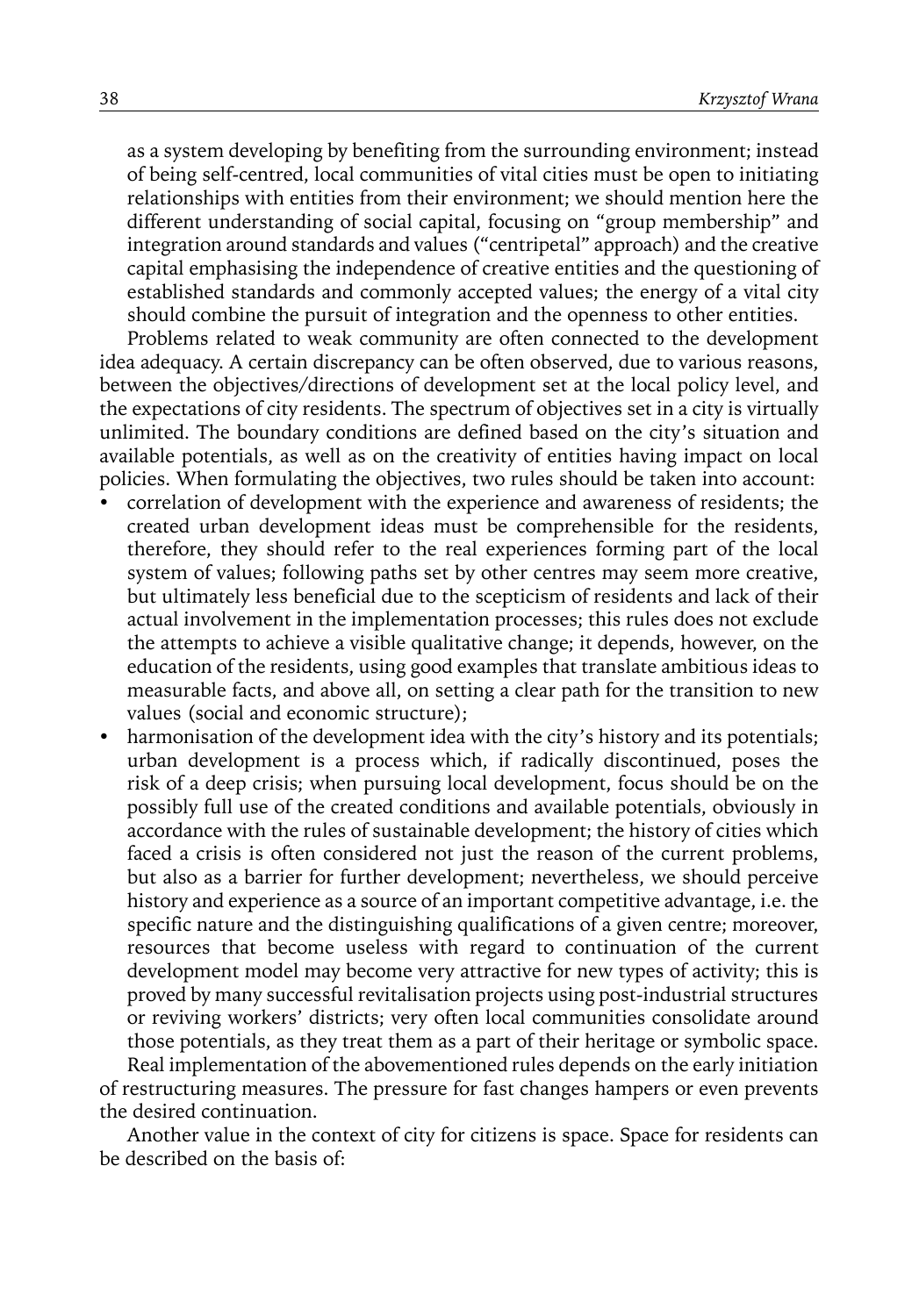as a system developing by benefiting from the surrounding environment; instead of being self-centred, local communities of vital cities must be open to initiating relationships with entities from their environment; we should mention here the different understanding of social capital, focusing on "group membership" and integration around standards and values ("centripetal" approach) and the creative capital emphasising the independence of creative entities and the questioning of established standards and commonly accepted values; the energy of a vital city should combine the pursuit of integration and the openness to other entities.

Problems related to weak community are often connected to the development idea adequacy. A certain discrepancy can be often observed, due to various reasons, between the objectives/directions of development set at the local policy level, and the expectations of city residents. The spectrum of objectives set in a city is virtually unlimited. The boundary conditions are defined based on the city's situation and available potentials, as well as on the creativity of entities having impact on local policies. When formulating the objectives, two rules should be taken into account:

- correlation of development with the experience and awareness of residents; the created urban development ideas must be comprehensible for the residents, therefore, they should refer to the real experiences forming part of the local system of values; following paths set by other centres may seem more creative, but ultimately less beneficial due to the scepticism of residents and lack of their actual involvement in the implementation processes; this rules does not exclude the attempts to achieve a visible qualitative change; it depends, however, on the education of the residents, using good examples that translate ambitious ideas to measurable facts, and above all, on setting a clear path for the transition to new values (social and economic structure);
- harmonisation of the development idea with the city's history and its potentials; urban development is a process which, if radically discontinued, poses the risk of a deep crisis; when pursuing local development, focus should be on the possibly full use of the created conditions and available potentials, obviously in accordance with the rules of sustainable development; the history of cities which faced a crisis is often considered not just the reason of the current problems, but also as a barrier for further development; nevertheless, we should perceive history and experience as a source of an important competitive advantage, i.e. the specific nature and the distinguishing qualifications of a given centre; moreover, resources that become useless with regard to continuation of the current development model may become very attractive for new types of activity; this is proved by many successful revitalisation projects using post-industrial structures or reviving workers' districts; very often local communities consolidate around those potentials, as they treat them as a part of their heritage or symbolic space. Real implementation of the abovementioned rules depends on the early initiation

of restructuring measures. The pressure for fast changes hampers or even prevents the desired continuation.

Another value in the context of city for citizens is space. Space for residents can be described on the basis of: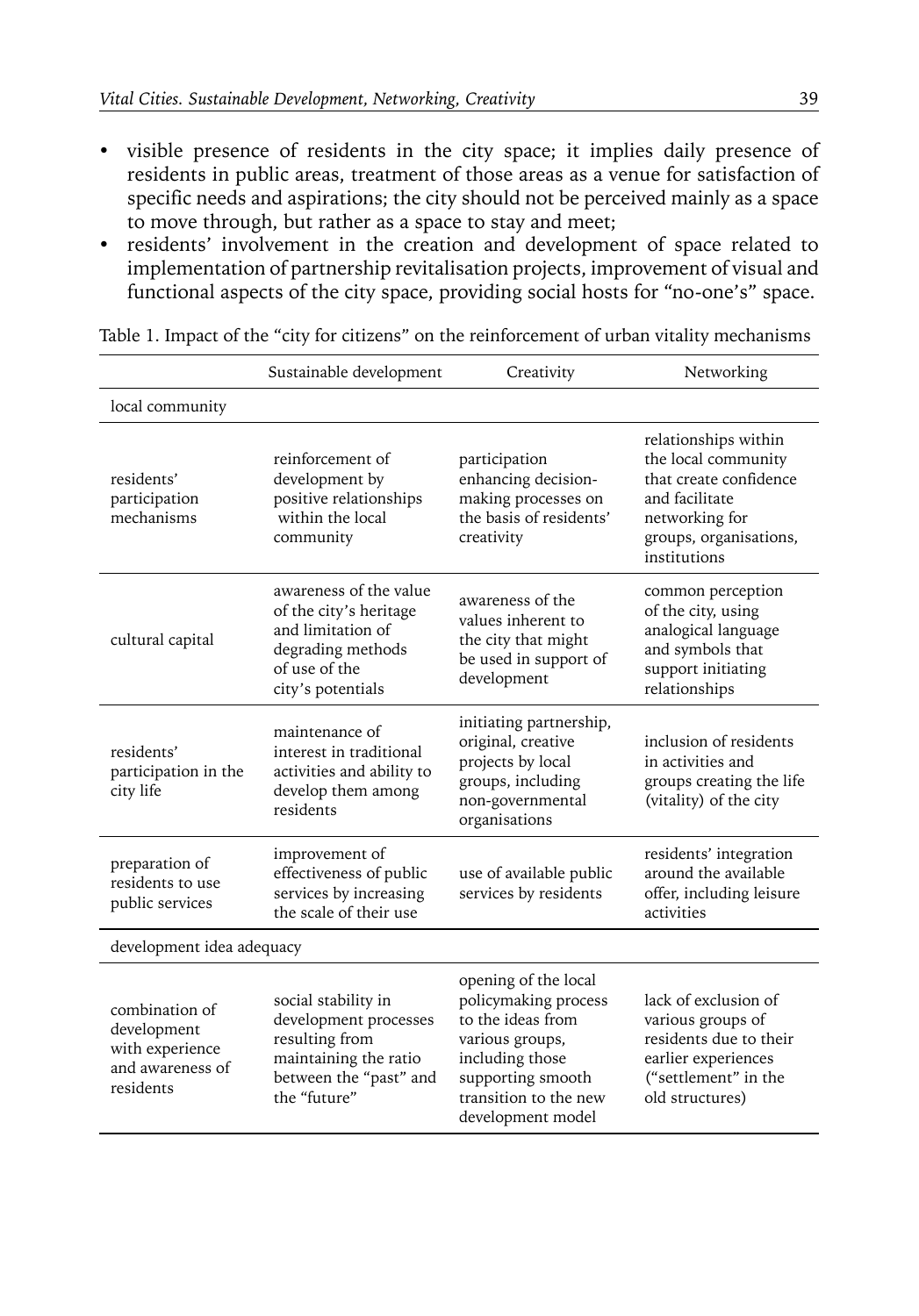- visible presence of residents in the city space; it implies daily presence of residents in public areas, treatment of those areas as a venue for satisfaction of specific needs and aspirations; the city should not be perceived mainly as a space to move through, but rather as a space to stay and meet;
- residents' involvement in the creation and development of space related to implementation of partnership revitalisation projects, improvement of visual and functional aspects of the city space, providing social hosts for "no-one's" space.

|                                                                                   | Sustainable development                                                                                                                           | Creativity                                                                                                                                                                 | Networking                                                                                                                                          |  |  |
|-----------------------------------------------------------------------------------|---------------------------------------------------------------------------------------------------------------------------------------------------|----------------------------------------------------------------------------------------------------------------------------------------------------------------------------|-----------------------------------------------------------------------------------------------------------------------------------------------------|--|--|
| local community                                                                   |                                                                                                                                                   |                                                                                                                                                                            |                                                                                                                                                     |  |  |
| residents'<br>participation<br>mechanisms                                         | reinforcement of<br>development by<br>positive relationships<br>within the local<br>community                                                     | participation<br>enhancing decision-<br>making processes on<br>the basis of residents'<br>creativity                                                                       | relationships within<br>the local community<br>that create confidence<br>and facilitate<br>networking for<br>groups, organisations,<br>institutions |  |  |
| cultural capital                                                                  | awareness of the value<br>of the city's heritage<br>and limitation of<br>degrading methods<br>of use of the<br>city's potentials                  | awareness of the<br>values inherent to<br>the city that might<br>be used in support of<br>development                                                                      | common perception<br>of the city, using<br>analogical language<br>and symbols that<br>support initiating<br>relationships                           |  |  |
| residents'<br>participation in the<br>city life                                   | maintenance of<br>interest in traditional<br>activities and ability to<br>develop them among<br>residents                                         | initiating partnership,<br>original, creative<br>projects by local<br>groups, including<br>non-governmental<br>organisations                                               | inclusion of residents<br>in activities and<br>groups creating the life<br>(vitality) of the city                                                   |  |  |
| preparation of<br>residents to use<br>public services                             | improvement of<br>effectiveness of public<br>use of available public<br>services by increasing<br>services by residents<br>the scale of their use |                                                                                                                                                                            | residents' integration<br>around the available<br>offer, including leisure<br>activities                                                            |  |  |
| development idea adequacy                                                         |                                                                                                                                                   |                                                                                                                                                                            |                                                                                                                                                     |  |  |
| combination of<br>development<br>with experience<br>and awareness of<br>residents | social stability in<br>development processes<br>resulting from<br>maintaining the ratio<br>between the "past" and<br>the "future"                 | opening of the local<br>policymaking process<br>to the ideas from<br>various groups,<br>including those<br>supporting smooth<br>transition to the new<br>development model | lack of exclusion of<br>various groups of<br>residents due to their<br>earlier experiences<br>("settlement" in the<br>old structures)               |  |  |

Table 1. Impact of the "city for citizens" on the reinforcement of urban vitality mechanisms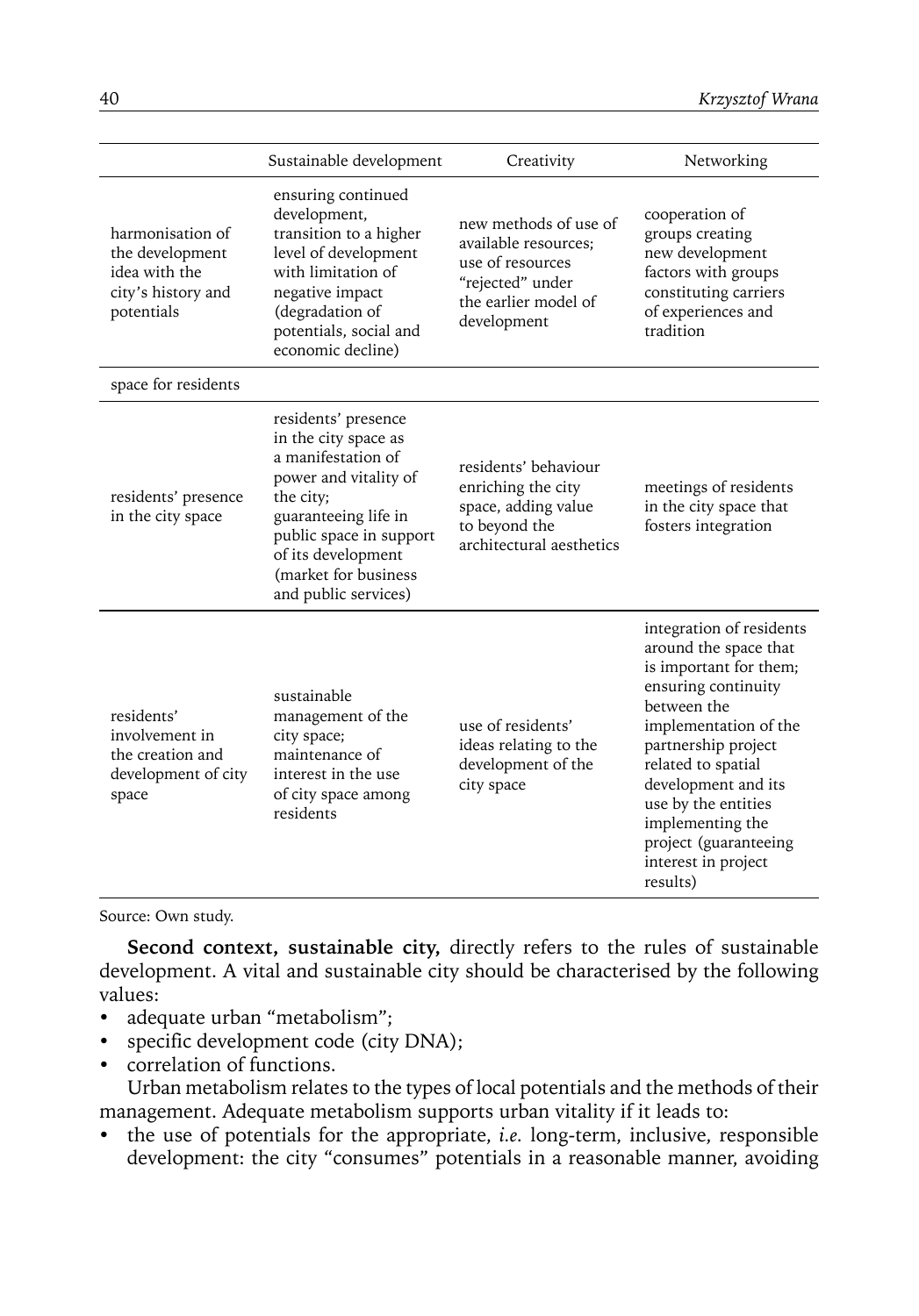|                                                                                          | Sustainable development                                                                                                                                                                                                          | Creativity                                                                                                                   | Networking                                                                                                                                                                                                                                                                                                            |
|------------------------------------------------------------------------------------------|----------------------------------------------------------------------------------------------------------------------------------------------------------------------------------------------------------------------------------|------------------------------------------------------------------------------------------------------------------------------|-----------------------------------------------------------------------------------------------------------------------------------------------------------------------------------------------------------------------------------------------------------------------------------------------------------------------|
| harmonisation of<br>the development<br>idea with the<br>city's history and<br>potentials | ensuring continued<br>development,<br>transition to a higher<br>level of development<br>with limitation of<br>negative impact<br>(degradation of<br>potentials, social and<br>economic decline)                                  | new methods of use of<br>available resources:<br>use of resources<br>"rejected" under<br>the earlier model of<br>development | cooperation of<br>groups creating<br>new development<br>factors with groups<br>constituting carriers<br>of experiences and<br>tradition                                                                                                                                                                               |
| space for residents                                                                      |                                                                                                                                                                                                                                  |                                                                                                                              |                                                                                                                                                                                                                                                                                                                       |
| residents' presence<br>in the city space                                                 | residents' presence<br>in the city space as<br>a manifestation of<br>power and vitality of<br>the city:<br>guaranteeing life in<br>public space in support<br>of its development<br>(market for business<br>and public services) | residents' behaviour<br>enriching the city<br>space, adding value<br>to beyond the<br>architectural aesthetics               | meetings of residents<br>in the city space that<br>fosters integration                                                                                                                                                                                                                                                |
| residents'<br>involvement in<br>the creation and<br>development of city<br>space         | sustainable<br>management of the<br>city space;<br>maintenance of<br>interest in the use<br>of city space among<br>residents                                                                                                     | use of residents'<br>ideas relating to the<br>development of the<br>city space                                               | integration of residents<br>around the space that<br>is important for them;<br>ensuring continuity<br>between the<br>implementation of the<br>partnership project<br>related to spatial<br>development and its<br>use by the entities<br>implementing the<br>project (guaranteeing<br>interest in project<br>results) |

Source: Own study.

**Second context, sustainable city,** directly refers to the rules of sustainable development. A vital and sustainable city should be characterised by the following values:

- adequate urban "metabolism";
- specific development code (city DNA);
- correlation of functions.

Urban metabolism relates to the types of local potentials and the methods of their management. Adequate metabolism supports urban vitality if it leads to:

• the use of potentials for the appropriate, *i.e*. long-term, inclusive, responsible development: the city "consumes" potentials in a reasonable manner, avoiding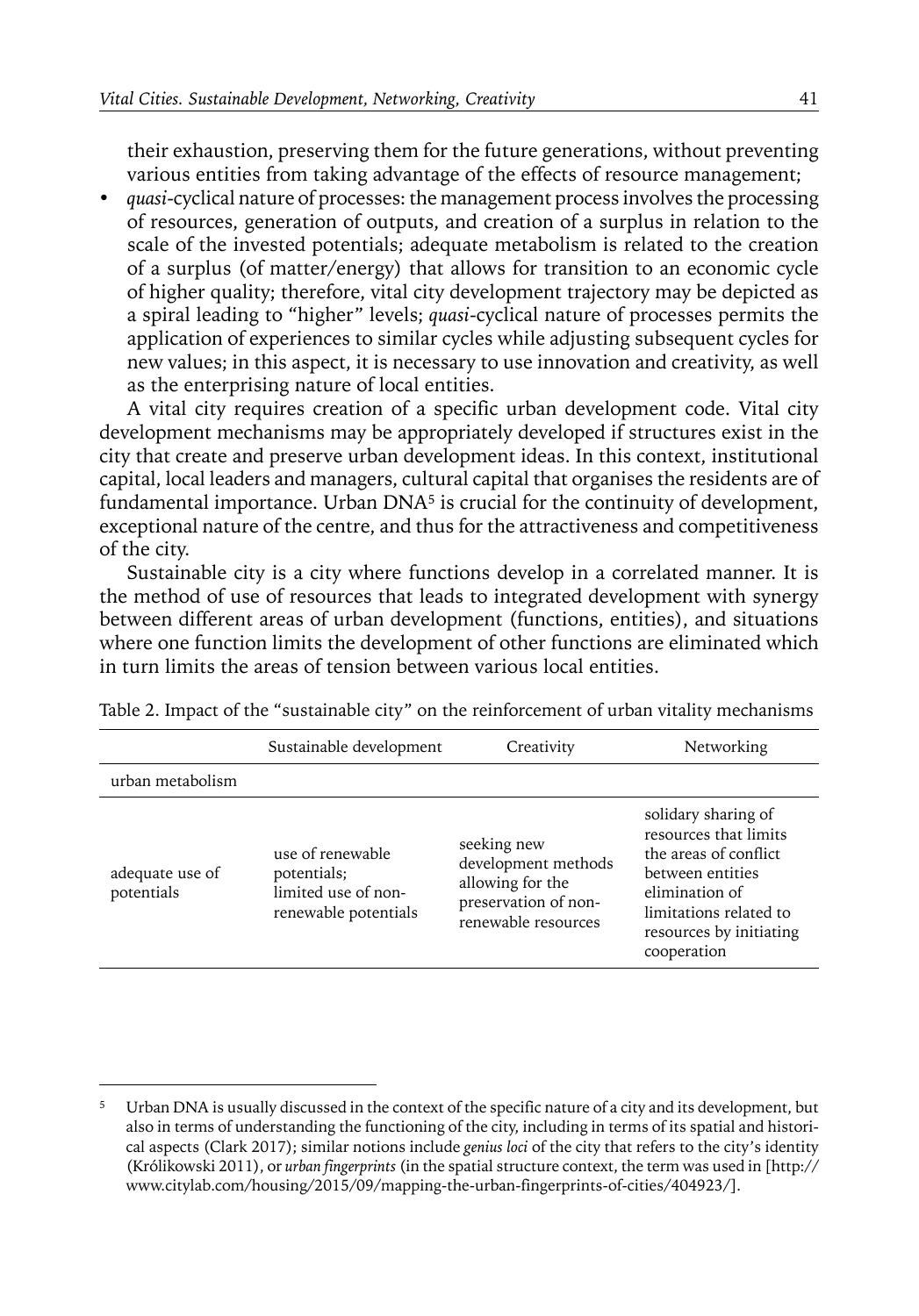their exhaustion, preserving them for the future generations, without preventing various entities from taking advantage of the effects of resource management;

• *quasi-cyclical nature of processes: the management process involves the processing* of resources, generation of outputs, and creation of a surplus in relation to the scale of the invested potentials; adequate metabolism is related to the creation of a surplus (of matter/energy) that allows for transition to an economic cycle of higher quality; therefore, vital city development trajectory may be depicted as a spiral leading to "higher" levels; *quasi*-cyclical nature of processes permits the application of experiences to similar cycles while adjusting subsequent cycles for new values; in this aspect, it is necessary to use innovation and creativity, as well as the enterprising nature of local entities.

A vital city requires creation of a specific urban development code. Vital city development mechanisms may be appropriately developed if structures exist in the city that create and preserve urban development ideas. In this context, institutional capital, local leaders and managers, cultural capital that organises the residents are of fundamental importance. Urban DNA<sup>5</sup> is crucial for the continuity of development, exceptional nature of the centre, and thus for the attractiveness and competitiveness of the city.

Sustainable city is a city where functions develop in a correlated manner. It is the method of use of resources that leads to integrated development with synergy between different areas of urban development (functions, entities), and situations where one function limits the development of other functions are eliminated which in turn limits the areas of tension between various local entities.

|                               | Sustainable development                                                        | Creativity                                                                                            | Networking                                                                                                                                                                      |
|-------------------------------|--------------------------------------------------------------------------------|-------------------------------------------------------------------------------------------------------|---------------------------------------------------------------------------------------------------------------------------------------------------------------------------------|
| urban metabolism              |                                                                                |                                                                                                       |                                                                                                                                                                                 |
| adequate use of<br>potentials | use of renewable<br>potentials;<br>limited use of non-<br>renewable potentials | seeking new<br>development methods<br>allowing for the<br>preservation of non-<br>renewable resources | solidary sharing of<br>resources that limits<br>the areas of conflict<br>between entities<br>elimination of<br>limitations related to<br>resources by initiating<br>cooperation |

Table 2. Impact of the "sustainable city" on the reinforcement of urban vitality mechanisms

Urban DNA is usually discussed in the context of the specific nature of a city and its development, but also in terms of understanding the functioning of the city, including in terms of its spatial and historical aspects (Clark 2017); similar notions include *genius loci* of the city that refers to the city's identity (Królikowski 2011), or *urban fingerprints* (in the spatial structure context, the term was used in [http:// www.citylab.com/housing/2015/09/mapping-the-urban-fingerprints-of-cities/404923/].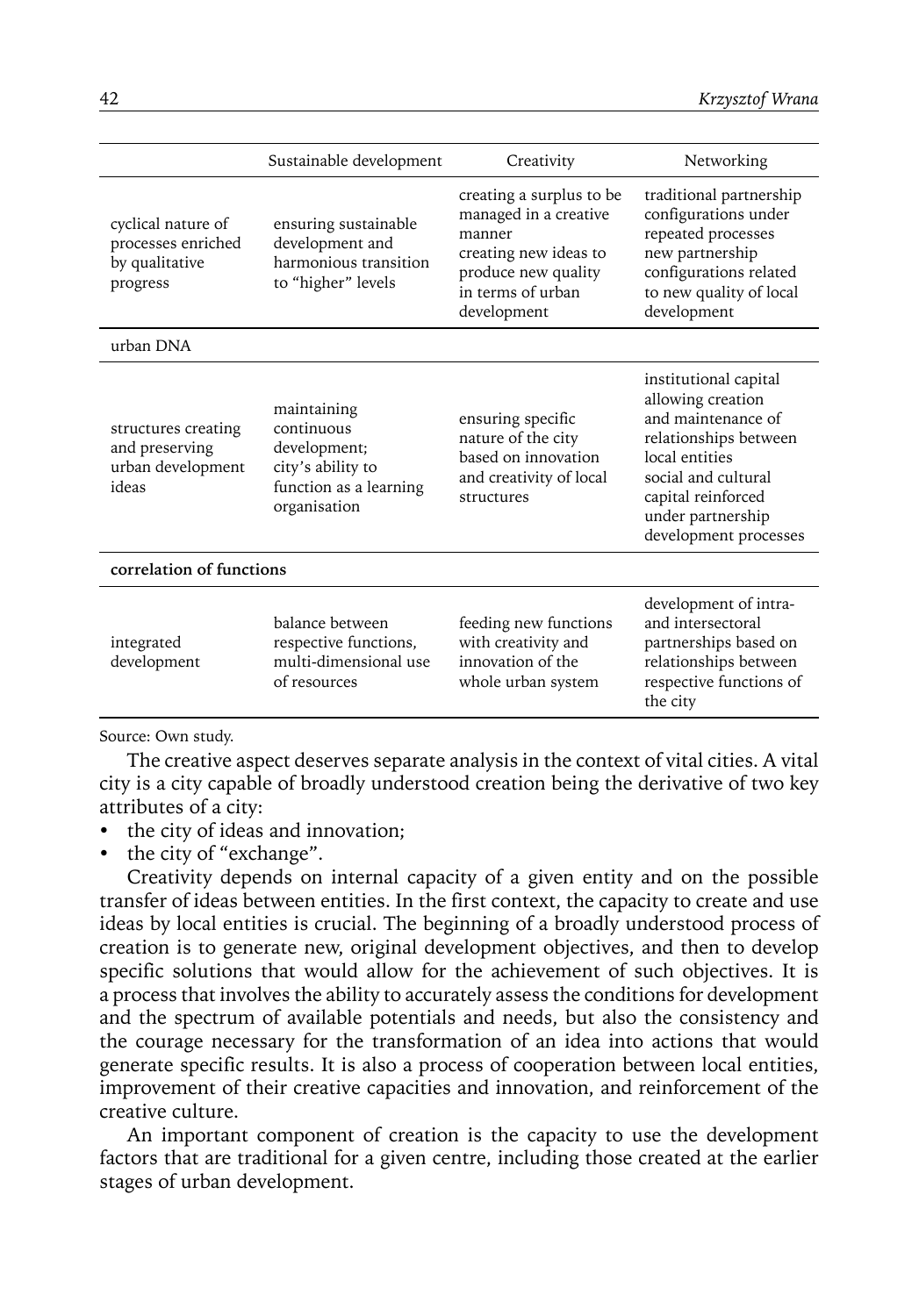|                                                                        | Sustainable development                                                                                  | Creativity                                                                                                                                      | Networking                                                                                                                                                                                             |
|------------------------------------------------------------------------|----------------------------------------------------------------------------------------------------------|-------------------------------------------------------------------------------------------------------------------------------------------------|--------------------------------------------------------------------------------------------------------------------------------------------------------------------------------------------------------|
| cyclical nature of<br>processes enriched<br>by qualitative<br>progress | ensuring sustainable<br>development and<br>harmonious transition<br>to "higher" levels                   | creating a surplus to be<br>managed in a creative<br>manner<br>creating new ideas to<br>produce new quality<br>in terms of urban<br>development | traditional partnership<br>configurations under<br>repeated processes<br>new partnership<br>configurations related<br>to new quality of local<br>development                                           |
| urban DNA                                                              |                                                                                                          |                                                                                                                                                 |                                                                                                                                                                                                        |
| structures creating<br>and preserving<br>urban development<br>ideas    | maintaining<br>continuous<br>development;<br>city's ability to<br>function as a learning<br>organisation | ensuring specific<br>nature of the city<br>based on innovation<br>and creativity of local<br>structures                                         | institutional capital<br>allowing creation<br>and maintenance of<br>relationships between<br>local entities<br>social and cultural<br>capital reinforced<br>under partnership<br>development processes |
| correlation of functions                                               |                                                                                                          |                                                                                                                                                 |                                                                                                                                                                                                        |
| integrated<br>development                                              | balance between<br>respective functions,<br>multi-dimensional use<br>of resources                        | feeding new functions<br>with creativity and<br>innovation of the<br>whole urban system                                                         | development of intra-<br>and intersectoral<br>partnerships based on<br>relationships between<br>respective functions of<br>the city                                                                    |

Source: Own study.

The creative aspect deserves separate analysis in the context of vital cities. A vital city is a city capable of broadly understood creation being the derivative of two key attributes of a city:

- the city of ideas and innovation;
- the city of "exchange".

Creativity depends on internal capacity of a given entity and on the possible transfer of ideas between entities. In the first context, the capacity to create and use ideas by local entities is crucial. The beginning of a broadly understood process of creation is to generate new, original development objectives, and then to develop specific solutions that would allow for the achievement of such objectives. It is a process that involves the ability to accurately assess the conditions for development and the spectrum of available potentials and needs, but also the consistency and the courage necessary for the transformation of an idea into actions that would generate specific results. It is also a process of cooperation between local entities, improvement of their creative capacities and innovation, and reinforcement of the creative culture.

An important component of creation is the capacity to use the development factors that are traditional for a given centre, including those created at the earlier stages of urban development.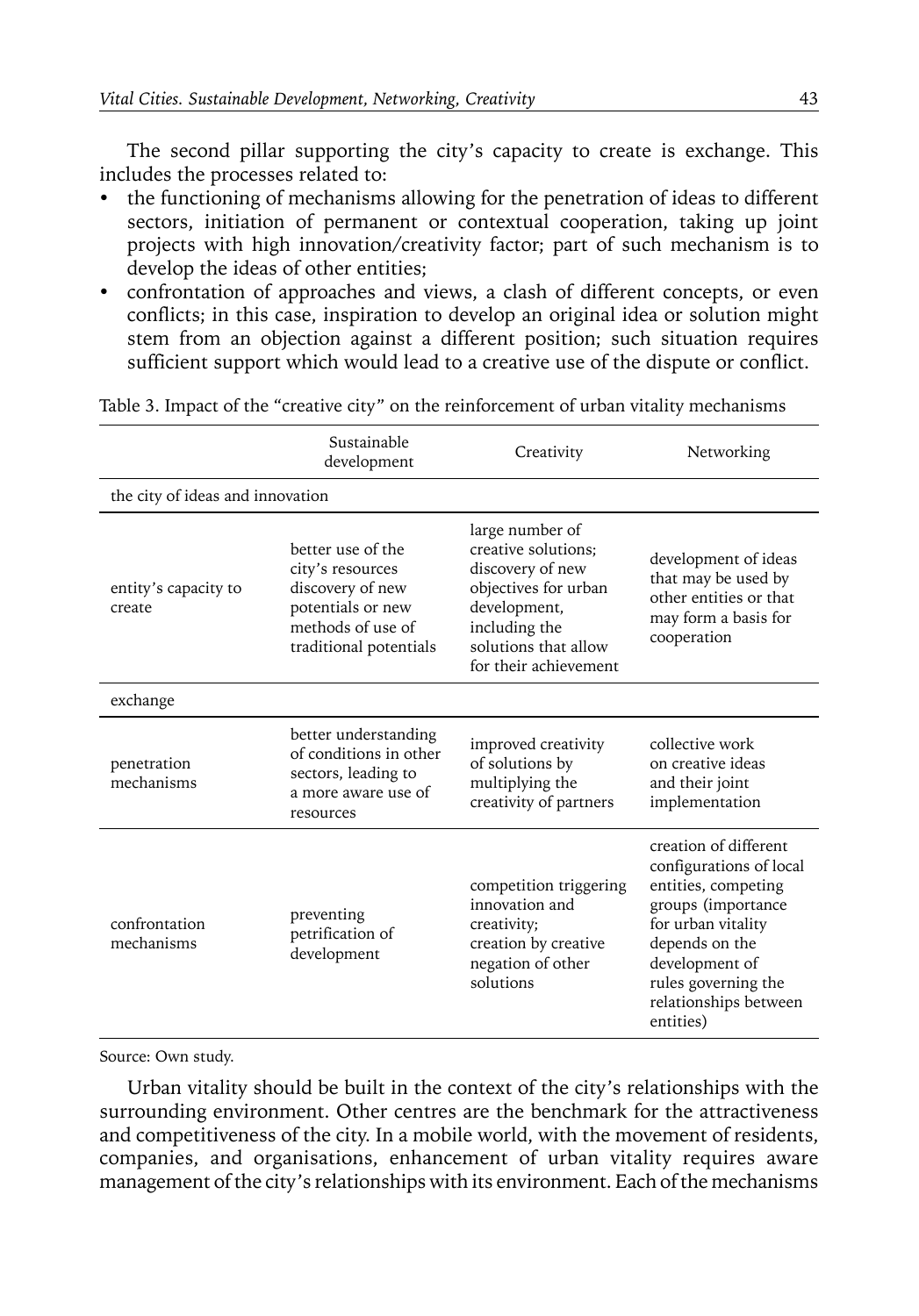The second pillar supporting the city's capacity to create is exchange. This includes the processes related to:

- the functioning of mechanisms allowing for the penetration of ideas to different sectors, initiation of permanent or contextual cooperation, taking up joint projects with high innovation/creativity factor; part of such mechanism is to develop the ideas of other entities;
- confrontation of approaches and views, a clash of different concepts, or even conflicts; in this case, inspiration to develop an original idea or solution might stem from an objection against a different position; such situation requires sufficient support which would lead to a creative use of the dispute or conflict.

|                                  | Sustainable<br>Creativity<br>development                                                                                      |                                                                                                                                                                      | Networking                                                                                                                                                                                                           |  |  |
|----------------------------------|-------------------------------------------------------------------------------------------------------------------------------|----------------------------------------------------------------------------------------------------------------------------------------------------------------------|----------------------------------------------------------------------------------------------------------------------------------------------------------------------------------------------------------------------|--|--|
| the city of ideas and innovation |                                                                                                                               |                                                                                                                                                                      |                                                                                                                                                                                                                      |  |  |
| entity's capacity to<br>create   | better use of the<br>city's resources<br>discovery of new<br>potentials or new<br>methods of use of<br>traditional potentials | large number of<br>creative solutions:<br>discovery of new<br>objectives for urban<br>development,<br>including the<br>solutions that allow<br>for their achievement | development of ideas<br>that may be used by<br>other entities or that<br>may form a basis for<br>cooperation                                                                                                         |  |  |
| exchange                         |                                                                                                                               |                                                                                                                                                                      |                                                                                                                                                                                                                      |  |  |
| penetration<br>mechanisms        | better understanding<br>of conditions in other<br>sectors, leading to<br>a more aware use of<br>resources                     | improved creativity<br>of solutions by<br>multiplying the<br>creativity of partners                                                                                  | collective work<br>on creative ideas<br>and their joint<br>implementation                                                                                                                                            |  |  |
| confrontation<br>mechanisms      | preventing<br>petrification of<br>development                                                                                 | competition triggering<br>innovation and<br>creativity;<br>creation by creative<br>negation of other<br>solutions                                                    | creation of different<br>configurations of local<br>entities, competing<br>groups (importance<br>for urban vitality<br>depends on the<br>development of<br>rules governing the<br>relationships between<br>entities) |  |  |

|  |  | Table 3. Impact of the "creative city" on the reinforcement of urban vitality mechanisms |  |  |
|--|--|------------------------------------------------------------------------------------------|--|--|
|  |  |                                                                                          |  |  |

Source: Own study.

Urban vitality should be built in the context of the city's relationships with the surrounding environment. Other centres are the benchmark for the attractiveness and competitiveness of the city. In a mobile world, with the movement of residents, companies, and organisations, enhancement of urban vitality requires aware management of the city's relationships with its environment. Each of the mechanisms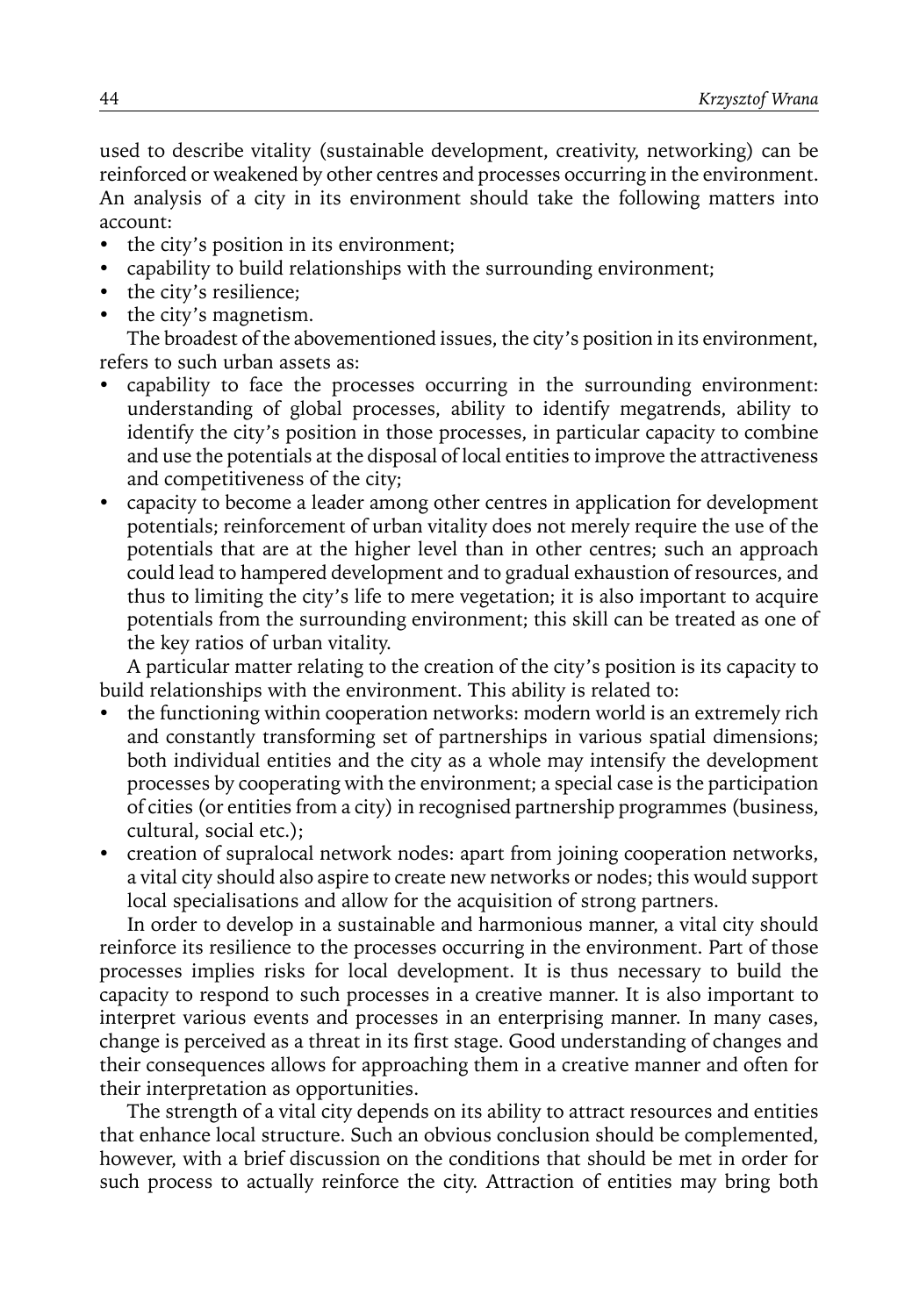used to describe vitality (sustainable development, creativity, networking) can be reinforced or weakened by other centres and processes occurring in the environment. An analysis of a city in its environment should take the following matters into account:

- the city's position in its environment;
- capability to build relationships with the surrounding environment;
- the city's resilience;
- the city's magnetism.

The broadest of the abovementioned issues, the city's position in its environment, refers to such urban assets as:

- capability to face the processes occurring in the surrounding environment: understanding of global processes, ability to identify megatrends, ability to identify the city's position in those processes, in particular capacity to combine and use the potentials at the disposal of local entities to improve the attractiveness and competitiveness of the city;
- capacity to become a leader among other centres in application for development potentials; reinforcement of urban vitality does not merely require the use of the potentials that are at the higher level than in other centres; such an approach could lead to hampered development and to gradual exhaustion of resources, and thus to limiting the city's life to mere vegetation; it is also important to acquire potentials from the surrounding environment; this skill can be treated as one of the key ratios of urban vitality.

A particular matter relating to the creation of the city's position is its capacity to build relationships with the environment. This ability is related to:

- the functioning within cooperation networks: modern world is an extremely rich and constantly transforming set of partnerships in various spatial dimensions; both individual entities and the city as a whole may intensify the development processes by cooperating with the environment; a special case is the participation of cities (or entities from a city) in recognised partnership programmes (business, cultural, social etc.);
- creation of supralocal network nodes: apart from joining cooperation networks, a vital city should also aspire to create new networks or nodes; this would support local specialisations and allow for the acquisition of strong partners.

In order to develop in a sustainable and harmonious manner, a vital city should reinforce its resilience to the processes occurring in the environment. Part of those processes implies risks for local development. It is thus necessary to build the capacity to respond to such processes in a creative manner. It is also important to interpret various events and processes in an enterprising manner. In many cases, change is perceived as a threat in its first stage. Good understanding of changes and their consequences allows for approaching them in a creative manner and often for their interpretation as opportunities.

The strength of a vital city depends on its ability to attract resources and entities that enhance local structure. Such an obvious conclusion should be complemented, however, with a brief discussion on the conditions that should be met in order for such process to actually reinforce the city. Attraction of entities may bring both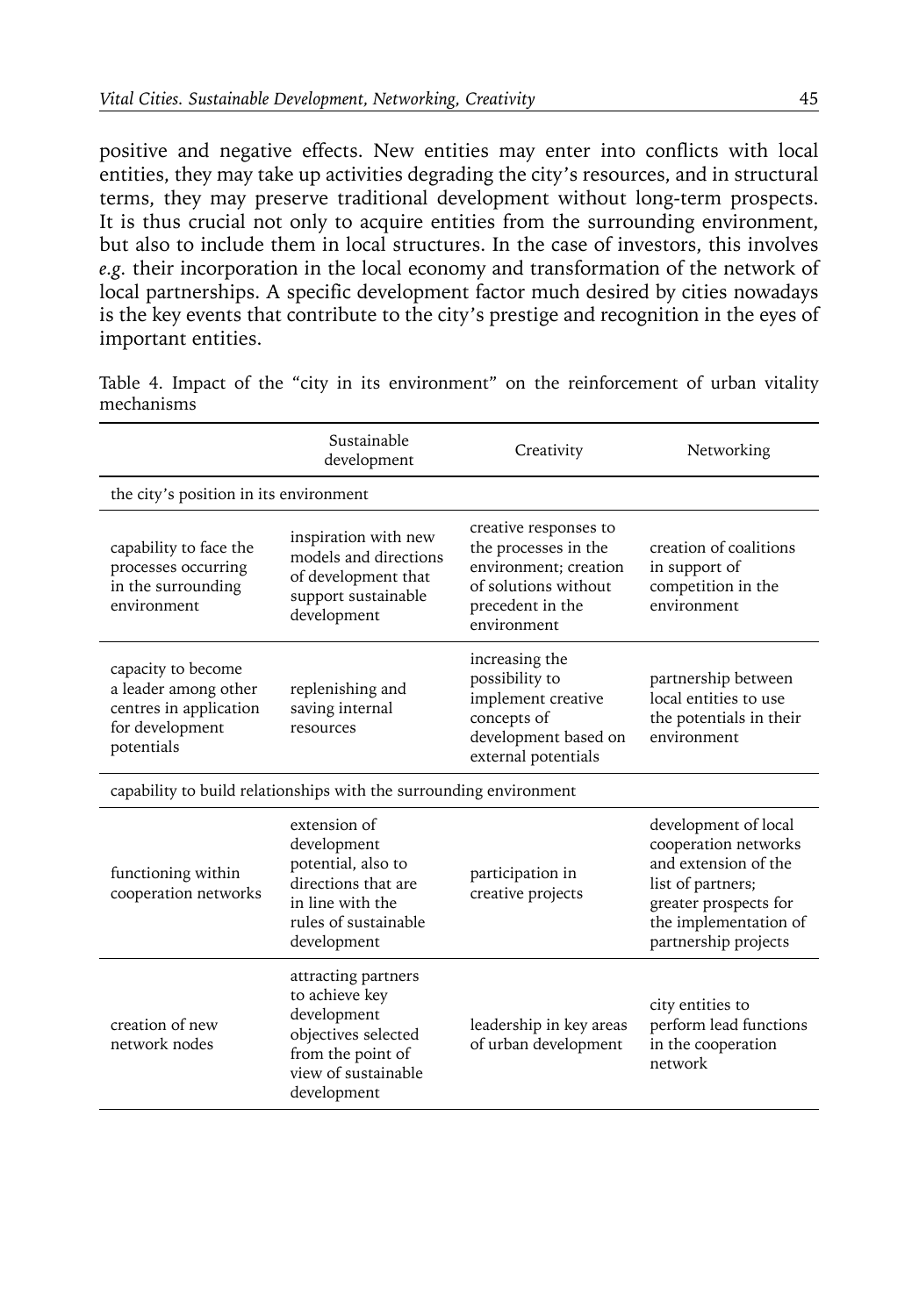positive and negative effects. New entities may enter into conflicts with local entities, they may take up activities degrading the city's resources, and in structural terms, they may preserve traditional development without long-term prospects. It is thus crucial not only to acquire entities from the surrounding environment, but also to include them in local structures. In the case of investors, this involves *e.g.* their incorporation in the local economy and transformation of the network of local partnerships. A specific development factor much desired by cities nowadays is the key events that contribute to the city's prestige and recognition in the eyes of important entities.

Table 4. Impact of the "city in its environment" on the reinforcement of urban vitality mechanisms

|                                                                                                       | Sustainable<br>Creativity<br>development                                                                                                                                 |                                                                                                                                   | Networking                                                                                                                                                          |  |  |
|-------------------------------------------------------------------------------------------------------|--------------------------------------------------------------------------------------------------------------------------------------------------------------------------|-----------------------------------------------------------------------------------------------------------------------------------|---------------------------------------------------------------------------------------------------------------------------------------------------------------------|--|--|
| the city's position in its environment                                                                |                                                                                                                                                                          |                                                                                                                                   |                                                                                                                                                                     |  |  |
| capability to face the<br>processes occurring<br>in the surrounding<br>environment                    | inspiration with new<br>models and directions<br>of development that<br>support sustainable<br>development                                                               | creative responses to<br>the processes in the<br>environment; creation<br>of solutions without<br>precedent in the<br>environment | creation of coalitions<br>in support of<br>competition in the<br>environment                                                                                        |  |  |
| capacity to become<br>a leader among other<br>centres in application<br>for development<br>potentials | increasing the<br>possibility to<br>replenishing and<br>implement creative<br>saving internal<br>concepts of<br>resources<br>development based on<br>external potentials |                                                                                                                                   | partnership between<br>local entities to use<br>the potentials in their<br>environment                                                                              |  |  |
|                                                                                                       | capability to build relationships with the surrounding environment                                                                                                       |                                                                                                                                   |                                                                                                                                                                     |  |  |
| functioning within<br>cooperation networks                                                            | extension of<br>development<br>potential, also to<br>directions that are<br>in line with the<br>rules of sustainable<br>development                                      | participation in<br>creative projects                                                                                             | development of local<br>cooperation networks<br>and extension of the<br>list of partners;<br>greater prospects for<br>the implementation of<br>partnership projects |  |  |
| creation of new<br>network nodes                                                                      | attracting partners<br>to achieve key<br>development<br>objectives selected<br>from the point of<br>view of sustainable<br>development                                   | leadership in key areas<br>of urban development                                                                                   | city entities to<br>perform lead functions<br>in the cooperation<br>network                                                                                         |  |  |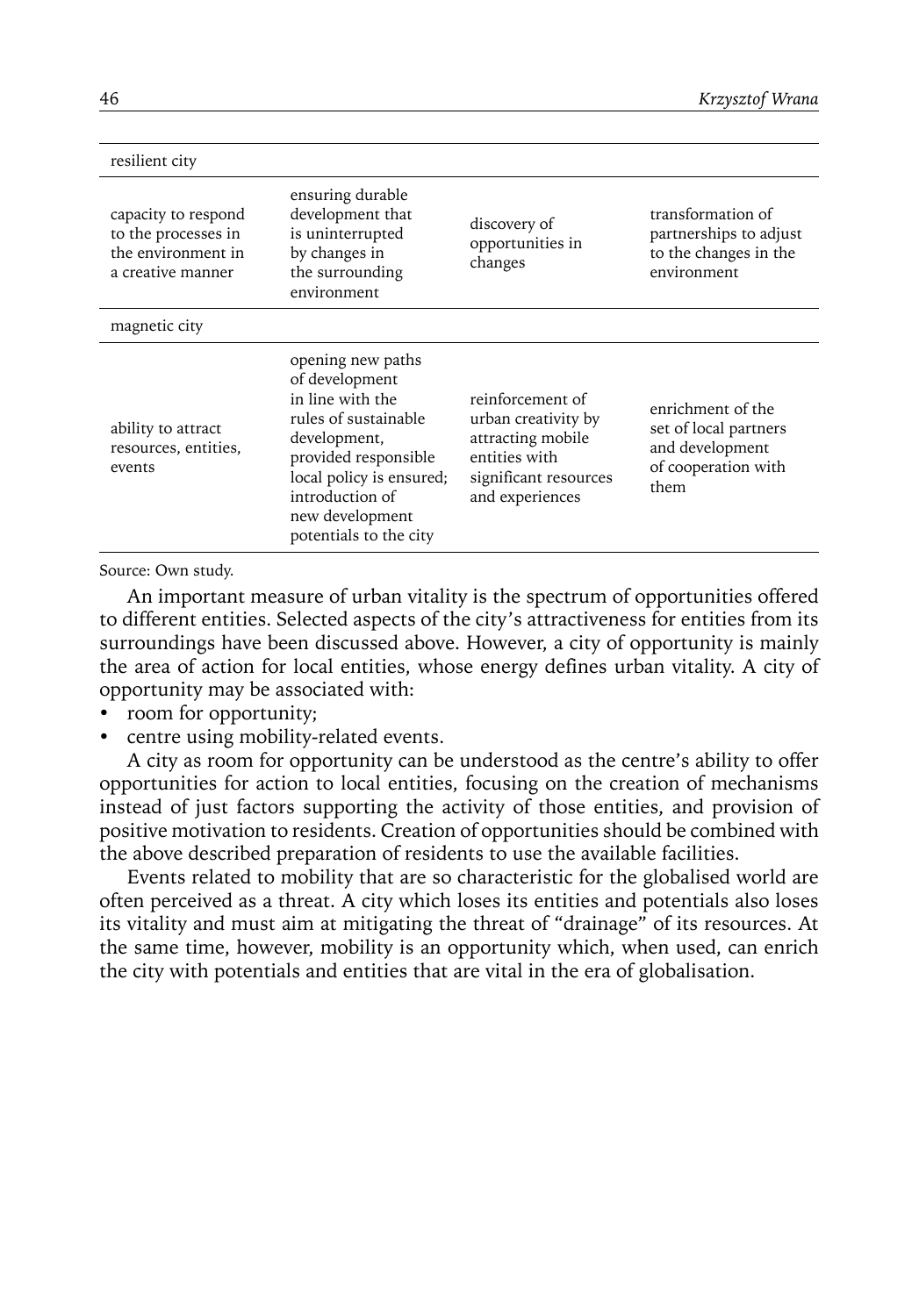| resilient city                                                                        |                                                                                                                                                                                                                     |                                                                                                                           |                                                                                              |
|---------------------------------------------------------------------------------------|---------------------------------------------------------------------------------------------------------------------------------------------------------------------------------------------------------------------|---------------------------------------------------------------------------------------------------------------------------|----------------------------------------------------------------------------------------------|
| capacity to respond<br>to the processes in<br>the environment in<br>a creative manner | ensuring durable<br>development that<br>is uninterrupted<br>by changes in<br>the surrounding<br>environment                                                                                                         | discovery of<br>opportunities in<br>changes                                                                               | transformation of<br>partnerships to adjust<br>to the changes in the<br>environment          |
| magnetic city                                                                         |                                                                                                                                                                                                                     |                                                                                                                           |                                                                                              |
| ability to attract<br>resources, entities,<br>events                                  | opening new paths<br>of development<br>in line with the<br>rules of sustainable<br>development,<br>provided responsible<br>local policy is ensured;<br>introduction of<br>new development<br>potentials to the city | reinforcement of<br>urban creativity by<br>attracting mobile<br>entities with<br>significant resources<br>and experiences | enrichment of the<br>set of local partners<br>and development<br>of cooperation with<br>them |

Source: Own study.

An important measure of urban vitality is the spectrum of opportunities offered to different entities. Selected aspects of the city's attractiveness for entities from its surroundings have been discussed above. However, a city of opportunity is mainly the area of action for local entities, whose energy defines urban vitality. A city of opportunity may be associated with:

- room for opportunity;
- centre using mobility-related events.

A city as room for opportunity can be understood as the centre's ability to offer opportunities for action to local entities, focusing on the creation of mechanisms instead of just factors supporting the activity of those entities, and provision of positive motivation to residents. Creation of opportunities should be combined with the above described preparation of residents to use the available facilities.

Events related to mobility that are so characteristic for the globalised world are often perceived as a threat. A city which loses its entities and potentials also loses its vitality and must aim at mitigating the threat of "drainage" of its resources. At the same time, however, mobility is an opportunity which, when used, can enrich the city with potentials and entities that are vital in the era of globalisation.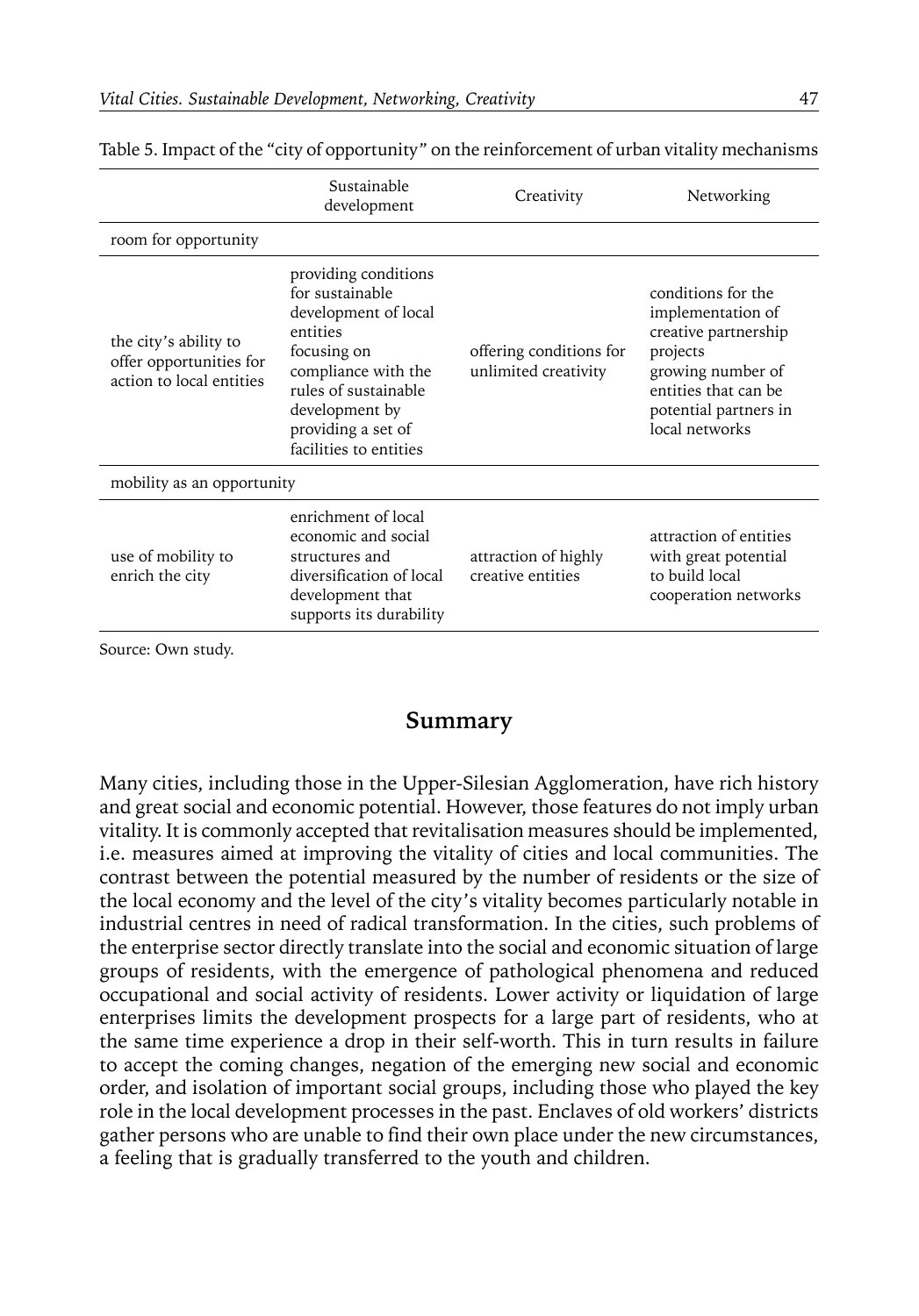|                                                                              | Sustainable<br>development                                                                                                                                                                                                                                     | Creativity                                | Networking                                                                                                                                                          |
|------------------------------------------------------------------------------|----------------------------------------------------------------------------------------------------------------------------------------------------------------------------------------------------------------------------------------------------------------|-------------------------------------------|---------------------------------------------------------------------------------------------------------------------------------------------------------------------|
| room for opportunity                                                         |                                                                                                                                                                                                                                                                |                                           |                                                                                                                                                                     |
| the city's ability to<br>offer opportunities for<br>action to local entities | providing conditions<br>for sustainable<br>development of local<br>entities<br>focusing on<br>offering conditions for<br>unlimited creativity<br>compliance with the<br>rules of sustainable<br>development by<br>providing a set of<br>facilities to entities |                                           | conditions for the<br>implementation of<br>creative partnership<br>projects<br>growing number of<br>entities that can be<br>potential partners in<br>local networks |
| mobility as an opportunity                                                   |                                                                                                                                                                                                                                                                |                                           |                                                                                                                                                                     |
| use of mobility to<br>enrich the city                                        | enrichment of local<br>economic and social<br>structures and<br>diversification of local<br>development that<br>supports its durability                                                                                                                        | attraction of highly<br>creative entities | attraction of entities<br>with great potential<br>to build local<br>cooperation networks                                                                            |

Table 5. Impact of the "city of opportunity" on the reinforcement of urban vitality mechanisms

Source: Own study.

#### **Summary**

Many cities, including those in the Upper-Silesian Agglomeration, have rich history and great social and economic potential. However, those features do not imply urban vitality. It is commonly accepted that revitalisation measures should be implemented, i.e. measures aimed at improving the vitality of cities and local communities. The contrast between the potential measured by the number of residents or the size of the local economy and the level of the city's vitality becomes particularly notable in industrial centres in need of radical transformation. In the cities, such problems of the enterprise sector directly translate into the social and economic situation of large groups of residents, with the emergence of pathological phenomena and reduced occupational and social activity of residents. Lower activity or liquidation of large enterprises limits the development prospects for a large part of residents, who at the same time experience a drop in their self-worth. This in turn results in failure to accept the coming changes, negation of the emerging new social and economic order, and isolation of important social groups, including those who played the key role in the local development processes in the past. Enclaves of old workers' districts gather persons who are unable to find their own place under the new circumstances, a feeling that is gradually transferred to the youth and children.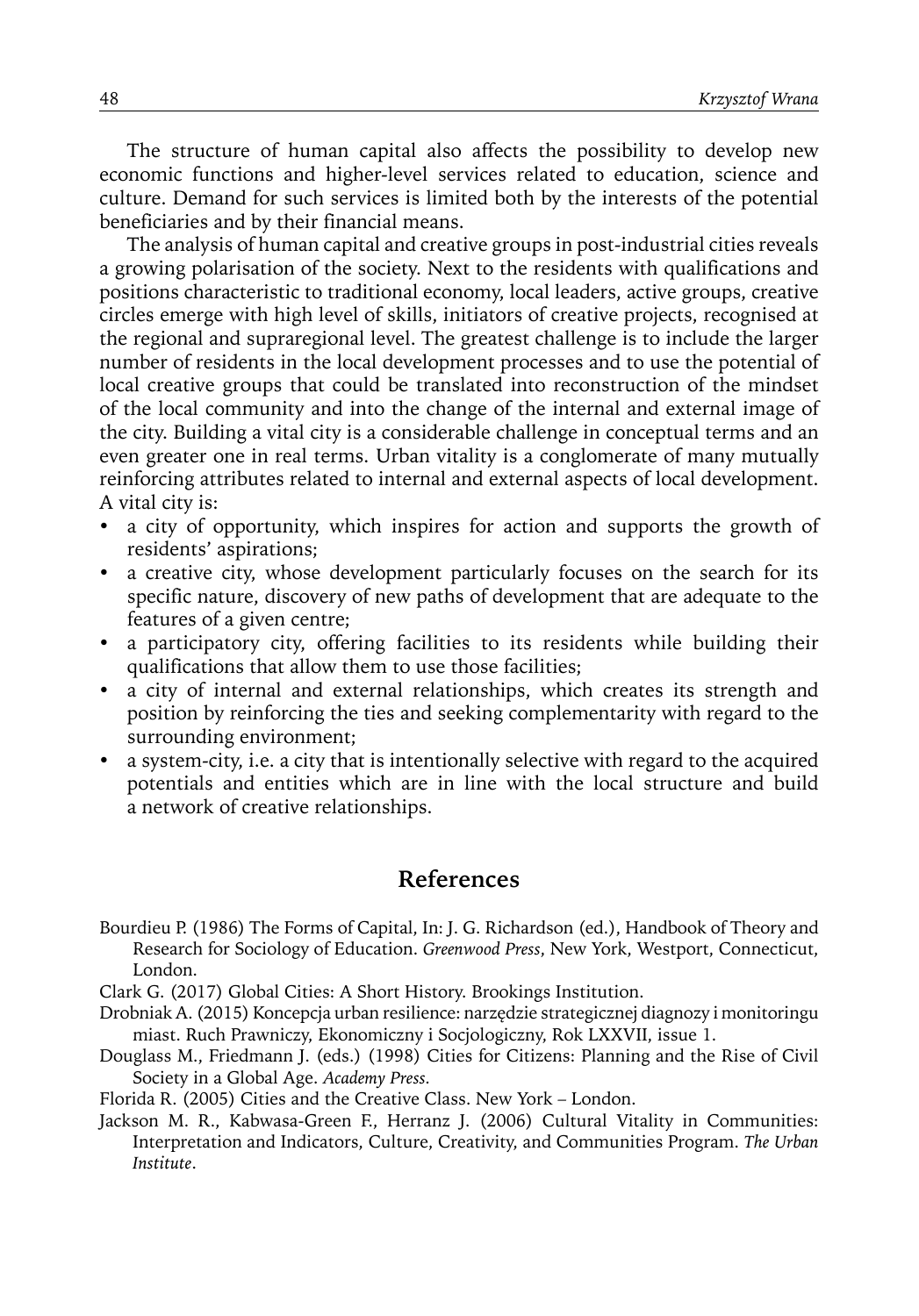The structure of human capital also affects the possibility to develop new economic functions and higher-level services related to education, science and culture. Demand for such services is limited both by the interests of the potential beneficiaries and by their financial means.

The analysis of human capital and creative groups in post-industrial cities reveals a growing polarisation of the society. Next to the residents with qualifications and positions characteristic to traditional economy, local leaders, active groups, creative circles emerge with high level of skills, initiators of creative projects, recognised at the regional and supraregional level. The greatest challenge is to include the larger number of residents in the local development processes and to use the potential of local creative groups that could be translated into reconstruction of the mindset of the local community and into the change of the internal and external image of the city. Building a vital city is a considerable challenge in conceptual terms and an even greater one in real terms. Urban vitality is a conglomerate of many mutually reinforcing attributes related to internal and external aspects of local development. A vital city is:

- a city of opportunity, which inspires for action and supports the growth of residents' aspirations;
- a creative city, whose development particularly focuses on the search for its specific nature, discovery of new paths of development that are adequate to the features of a given centre;
- a participatory city, offering facilities to its residents while building their qualifications that allow them to use those facilities;
- a city of internal and external relationships, which creates its strength and position by reinforcing the ties and seeking complementarity with regard to the surrounding environment;
- a system-city, i.e. a city that is intentionally selective with regard to the acquired potentials and entities which are in line with the local structure and build a network of creative relationships.

#### **References**

- Bourdieu P. (1986) The Forms of Capital, In: J. G. Richardson (ed.), Handbook of Theory and Research for Sociology of Education. *Greenwood Press*, New York, Westport, Connecticut, London.
- Clark G. (2017) Global Cities: A Short History. Brookings Institution.
- Drobniak A. (2015) Koncepcja urban resilience: narzędzie strategicznej diagnozy i monitoringu miast. Ruch Prawniczy, Ekonomiczny i Socjologiczny, Rok LXXVII, issue 1.
- Douglass M., Friedmann J. (eds.) (1998) Cities for Citizens: Planning and the Rise of Civil Society in a Global Age. *Academy Press.*
- Florida R. (2005) Cities and the Creative Class. New York London.
- Jackson M. R., Kabwasa-Green F., Herranz J. (2006) Cultural Vitality in Communities: Interpretation and Indicators, Culture, Creativity, and Communities Program. *The Urban Institute*.